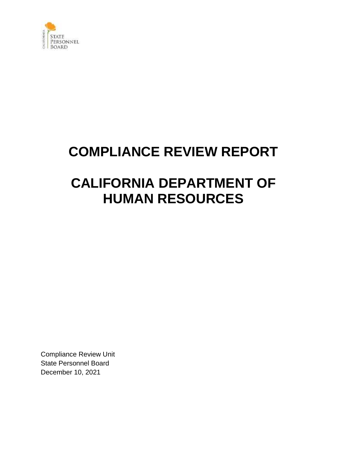

# **COMPLIANCE REVIEW REPORT**

# **CALIFORNIA DEPARTMENT OF HUMAN RESOURCES**

Compliance Review Unit State Personnel Board December 10, 2021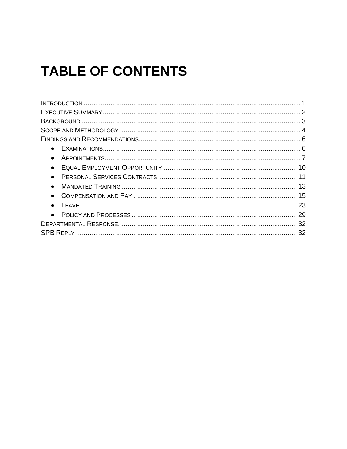# **TABLE OF CONTENTS**

| $\bullet$ |  |
|-----------|--|
|           |  |
|           |  |
|           |  |
|           |  |
|           |  |
|           |  |
|           |  |
|           |  |
|           |  |
|           |  |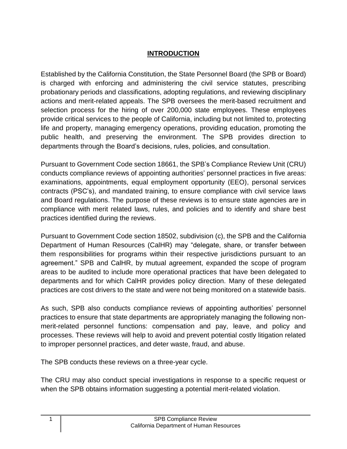# **INTRODUCTION**

 Established by the California Constitution, the State Personnel Board (the SPB or Board) is charged with enforcing and administering the civil service statutes, prescribing actions and merit-related appeals. The SPB oversees the merit-based recruitment and selection process for the hiring of over 200,000 state employees. These employees provide critical services to the people of California, including but not limited to, protecting life and property, managing emergency operations, providing education, promoting the public health, and preserving the environment. The SPB provides direction to probationary periods and classifications, adopting regulations, and reviewing disciplinary departments through the Board's decisions, rules, policies, and consultation.

 Pursuant to Government Code section 18661, the SPB's Compliance Review Unit (CRU) contracts (PSC's), and mandated training, to ensure compliance with civil service laws and Board regulations. The purpose of these reviews is to ensure state agencies are in compliance with merit related laws, rules, and policies and to identify and share best conducts compliance reviews of appointing authorities' personnel practices in five areas: examinations, appointments, equal employment opportunity (EEO), personal services practices identified during the reviews.

 Pursuant to Government Code section 18502, subdivision (c), the SPB and the California Department of Human Resources (CalHR) may "delegate, share, or transfer between them responsibilities for programs within their respective jurisdictions pursuant to an agreement." SPB and CalHR, by mutual agreement, expanded the scope of program areas to be audited to include more operational practices that have been delegated to departments and for which CalHR provides policy direction. Many of these delegated practices are cost drivers to the state and were not being monitored on a statewide basis.

 As such, SPB also conducts compliance reviews of appointing authorities' personnel practices to ensure that state departments are appropriately managing the following non- merit-related personnel functions: compensation and pay, leave, and policy and processes. These reviews will help to avoid and prevent potential costly litigation related to improper personnel practices, and deter waste, fraud, and abuse.

The SPB conducts these reviews on a three-year cycle.

 The CRU may also conduct special investigations in response to a specific request or when the SPB obtains information suggesting a potential merit-related violation.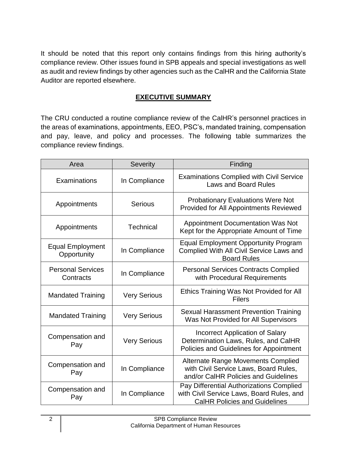It should be noted that this report only contains findings from this hiring authority's compliance review. Other issues found in SPB appeals and special investigations as well as audit and review findings by other agencies such as the CalHR and the California State Auditor are reported elsewhere.

## **EXECUTIVE SUMMARY**

 The CRU conducted a routine compliance review of the CalHR's personnel practices in the areas of examinations, appointments, EEO, PSC's, mandated training, compensation and pay, leave, and policy and processes. The following table summarizes the compliance review findings.

| Area                                   | Severity            | Finding                                                                                                                       |
|----------------------------------------|---------------------|-------------------------------------------------------------------------------------------------------------------------------|
| Examinations                           | In Compliance       | <b>Examinations Complied with Civil Service</b><br><b>Laws and Board Rules</b>                                                |
| Appointments                           | <b>Serious</b>      | <b>Probationary Evaluations Were Not</b><br><b>Provided for All Appointments Reviewed</b>                                     |
| Appointments                           | <b>Technical</b>    | <b>Appointment Documentation Was Not</b><br>Kept for the Appropriate Amount of Time                                           |
| <b>Equal Employment</b><br>Opportunity | In Compliance       | <b>Equal Employment Opportunity Program</b><br>Complied With All Civil Service Laws and<br><b>Board Rules</b>                 |
| <b>Personal Services</b><br>Contracts  | In Compliance       | <b>Personal Services Contracts Complied</b><br>with Procedural Requirements                                                   |
| <b>Mandated Training</b>               | <b>Very Serious</b> | Ethics Training Was Not Provided for All<br><b>Filers</b>                                                                     |
| <b>Mandated Training</b>               | <b>Very Serious</b> | <b>Sexual Harassment Prevention Training</b><br>Was Not Provided for All Supervisors                                          |
| Compensation and<br>Pay                | <b>Very Serious</b> | Incorrect Application of Salary<br>Determination Laws, Rules, and CalHR<br>Policies and Guidelines for Appointment            |
| Compensation and<br>Pay                | In Compliance       | <b>Alternate Range Movements Complied</b><br>with Civil Service Laws, Board Rules,<br>and/or CalHR Policies and Guidelines    |
| Compensation and<br>Pay                | In Compliance       | Pay Differential Authorizations Complied<br>with Civil Service Laws, Board Rules, and<br><b>CalHR Policies and Guidelines</b> |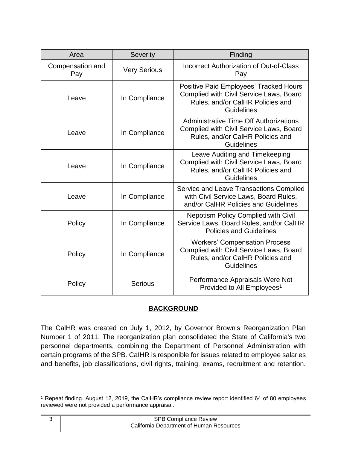| Area                    | Severity<br>Finding |                                                                                                                                                   |
|-------------------------|---------------------|---------------------------------------------------------------------------------------------------------------------------------------------------|
| Compensation and<br>Pay | <b>Very Serious</b> | <b>Incorrect Authorization of Out-of-Class</b><br>Pay                                                                                             |
| Leave                   | In Compliance       | Positive Paid Employees' Tracked Hours<br>Complied with Civil Service Laws, Board<br>Rules, and/or CalHR Policies and<br><b>Guidelines</b>        |
| Leave                   | In Compliance       | <b>Administrative Time Off Authorizations</b><br>Complied with Civil Service Laws, Board<br>Rules, and/or CalHR Policies and<br><b>Guidelines</b> |
| Leave                   | In Compliance       | Leave Auditing and Timekeeping<br>Complied with Civil Service Laws, Board<br>Rules, and/or CalHR Policies and<br>Guidelines                       |
| Leave                   | In Compliance       | Service and Leave Transactions Complied<br>with Civil Service Laws, Board Rules,<br>and/or CalHR Policies and Guidelines                          |
| Policy                  | In Compliance       | <b>Nepotism Policy Complied with Civil</b><br>Service Laws, Board Rules, and/or CalHR<br><b>Policies and Guidelines</b>                           |
| Policy                  | In Compliance       | <b>Workers' Compensation Process</b><br>Complied with Civil Service Laws, Board<br>Rules, and/or CalHR Policies and<br>Guidelines                 |
| Policy                  | <b>Serious</b>      | Performance Appraisals Were Not<br>Provided to All Employees <sup>1</sup>                                                                         |

# **BACKGROUND**

 The CalHR was created on July 1, 2012, by Governor Brown's Reorganization Plan Number 1 of 2011. The reorganization plan consolidated the State of California's two personnel departments, combining the Department of Personnel Administration with certain programs of the SPB. CaIHR is responible for issues related to employee salaries and benefits, job classifications, civil rights, training, exams, recruitment and retention.

 1 Repeat finding. August 12, 2019, the CalHR's compliance review report identified 64 of 80 employees reviewed were not provided a performance appraisal.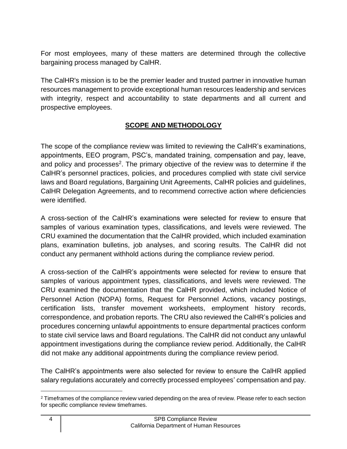For most employees, many of these matters are determined through the collective bargaining process managed by CalHR.

 The CalHR's mission is to be the premier leader and trusted partner in innovative human resources management to provide exceptional human resources leadership and services with integrity, respect and accountability to state departments and all current and prospective employees.

# **SCOPE AND METHODOLOGY**

 The scope of the compliance review was limited to reviewing the CalHR's examinations, appointments, EEO program, PSC's, mandated training, compensation and pay, leave, and policy and processes<sup>2</sup>. The primary objective of the review was to determine if the CalHR's personnel practices, policies, and procedures complied with state civil service laws and Board regulations, Bargaining Unit Agreements, CalHR policies and guidelines, CalHR Delegation Agreements, and to recommend corrective action where deficiencies were identified.

 A cross-section of the CalHR's examinations were selected for review to ensure that plans, examination bulletins, job analyses, and scoring results. The CalHR did not samples of various examination types, classifications, and levels were reviewed. The CRU examined the documentation that the CalHR provided, which included examination conduct any permanent withhold actions during the compliance review period.

 A cross-section of the CalHR's appointments were selected for review to ensure that CRU examined the documentation that the CalHR provided, which included Notice of Personnel Action (NOPA) forms, Request for Personnel Actions, vacancy postings, certification lists, transfer movement worksheets, employment history records, correspondence, and probation reports. The CRU also reviewed the CalHR's policies and procedures concerning unlawful appointments to ensure departmental practices conform to state civil service laws and Board regulations. The CalHR did not conduct any unlawful samples of various appointment types, classifications, and levels were reviewed. The appointment investigations during the compliance review period. Additionally, the CalHR did not make any additional appointments during the compliance review period.

 The CalHR's appointments were also selected for review to ensure the CalHR applied salary regulations accurately and correctly processed employees' compensation and pay.

 $2$  Timeframes of the compliance review varied depending on the area of review. Please refer to each section for specific compliance review timeframes.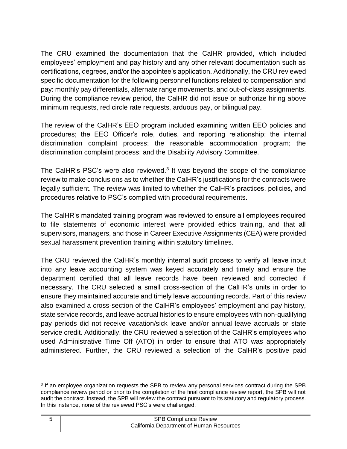The CRU examined the documentation that the CalHR provided, which included employees' employment and pay history and any other relevant documentation such as certifications, degrees, and/or the appointee's application. Additionally, the CRU reviewed specific documentation for the following personnel functions related to compensation and pay: monthly pay differentials, alternate range movements, and out-of-class assignments. During the compliance review period, the CalHR did not issue or authorize hiring above minimum requests, red circle rate requests, arduous pay, or bilingual pay.

 The review of the CalHR's EEO program included examining written EEO policies and procedures; the EEO Officer's role, duties, and reporting relationship; the internal discrimination complaint process; the reasonable accommodation program; the discrimination complaint process; and the Disability Advisory Committee.

The CalHR's PSC's were also reviewed. $3$  It was beyond the scope of the compliance review to make conclusions as to whether the CalHR's justifications for the contracts were legally sufficient. The review was limited to whether the CalHR's practices, policies, and procedures relative to PSC's complied with procedural requirements.

 The CalHR's mandated training program was reviewed to ensure all employees required to file statements of economic interest were provided ethics training, and that all supervisors, managers, and those in Career Executive Assignments (CEA) were provided sexual harassment prevention training within statutory timelines.

 The CRU reviewed the CalHR's monthly internal audit process to verify all leave input into any leave accounting system was keyed accurately and timely and ensure the department certified that all leave records have been reviewed and corrected if necessary. The CRU selected a small cross-section of the CalHR's units in order to ensure they maintained accurate and timely leave accounting records. Part of this review also examined a cross-section of the CalHR's employees' employment and pay history, state service records, and leave accrual histories to ensure employees with non-qualifying service credit. Additionally, the CRU reviewed a selection of the CalHR's employees who used Administrative Time Off (ATO) in order to ensure that ATO was appropriately administered. Further, the CRU reviewed a selection of the CalHR's positive paid pay periods did not receive vacation/sick leave and/or annual leave accruals or state

<sup>&</sup>lt;sup>3</sup> If an employee organization requests the SPB to review any personal services contract during the SPB compliance review period or prior to the completion of the final compliance review report, the SPB will not audit the contract. Instead, the SPB will review the contract pursuant to its statutory and regulatory process. In this instance, none of the reviewed PSC's were challenged.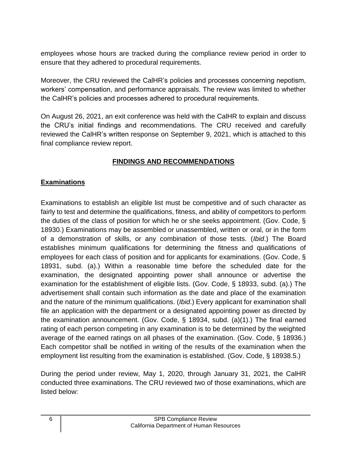employees whose hours are tracked during the compliance review period in order to ensure that they adhered to procedural requirements.

 Moreover, the CRU reviewed the CalHR's policies and processes concerning nepotism, workers' compensation, and performance appraisals. The review was limited to whether the CalHR's policies and processes adhered to procedural requirements.

 On August 26, 2021, an exit conference was held with the CalHR to explain and discuss the CRU's initial findings and recommendations. The CRU received and carefully reviewed the CalHR's written response on September 9, 2021, which is attached to this final compliance review report.

# **FINDINGS AND RECOMMENDATIONS**

## **Examinations**

 Examinations to establish an eligible list must be competitive and of such character as fairly to test and determine the qualifications, fitness, and ability of competitors to perform the duties of the class of position for which he or she seeks appointment. (Gov. Code, § 18930.) Examinations may be assembled or unassembled, written or oral, or in the form of a demonstration of skills, or any combination of those tests. (*Ibid*.) The Board establishes minimum qualifications for determining the fitness and qualifications of employees for each class of position and for applicants for examinations. (Gov. Code, § 18931, subd. (a).) Within a reasonable time before the scheduled date for the examination, the designated appointing power shall announce or advertise the examination for the establishment of eligible lists. (Gov. Code, § 18933, subd. (a).) The advertisement shall contain such information as the date and place of the examination and the nature of the minimum qualifications. (*Ibid*.) Every applicant for examination shall file an application with the department or a designated appointing power as directed by average of the earned ratings on all phases of the examination. (Gov. Code, § 18936.) Each competitor shall be notified in writing of the results of the examination when the the examination announcement. (Gov. Code, § 18934, subd. (a)(1).) The final earned rating of each person competing in any examination is to be determined by the weighted employment list resulting from the examination is established. (Gov. Code, § 18938.5.)

 During the period under review, May 1, 2020, through January 31, 2021, the CalHR conducted three examinations. The CRU reviewed two of those examinations, which are listed below: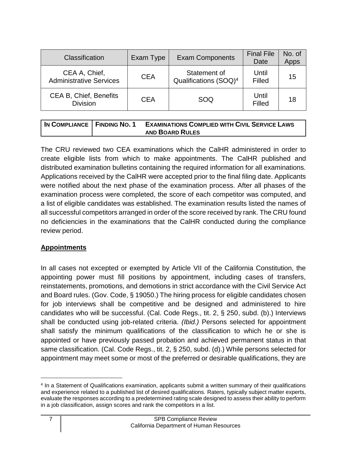| Classification                                  | Exam Type  | <b>Exam Components</b>                            | <b>Final File</b><br>Date | No. of<br>Apps |
|-------------------------------------------------|------------|---------------------------------------------------|---------------------------|----------------|
| CEA A, Chief,<br><b>Administrative Services</b> | <b>CEA</b> | Statement of<br>Qualifications (SOQ) <sup>4</sup> | Until<br>Filled           | 15             |
| CEA B, Chief, Benefits<br><b>Division</b>       | <b>CEA</b> | SOQ                                               | Until<br>Filled           | 18             |

| IN COMPLIANCE   FINDING NO. 1 | <b>EXAMINATIONS COMPLIED WITH CIVIL SERVICE LAWS</b> |
|-------------------------------|------------------------------------------------------|
|                               | <b>AND BOARD RULES</b>                               |

 The CRU reviewed two CEA examinations which the CalHR administered in order to create eligible lists from which to make appointments. The CalHR published and distributed examination bulletins containing the required information for all examinations. Applications received by the CalHR were accepted prior to the final filing date. Applicants were notified about the next phase of the examination process. After all phases of the examination process were completed, the score of each competitor was computed, and a list of eligible candidates was established. The examination results listed the names of all successful competitors arranged in order of the score received by rank. The CRU found no deficiencies in the examinations that the CalHR conducted during the compliance review period.

#### **Appointments**

 In all cases not excepted or exempted by Article VII of the California Constitution, the appointing power must fill positions by appointment, including cases of transfers, reinstatements, promotions, and demotions in strict accordance with the Civil Service Act and Board rules. (Gov. Code, § 19050.) The hiring process for eligible candidates chosen for job interviews shall be competitive and be designed and administered to hire candidates who will be successful. (Cal. Code Regs., tit. 2, § 250, subd. (b).) Interviews shall be conducted using job-related criteria. *(Ibid.)* Persons selected for appointment shall satisfy the minimum qualifications of the classification to which he or she is appointed or have previously passed probation and achieved permanent status in that same classification. (Cal. Code Regs., tit. 2, § 250, subd. (d).) While persons selected for appointment may meet some or most of the preferred or desirable qualifications, they are

 4 In a Statement of Qualifications examination, applicants submit a written summary of their qualifications and experience related to a published list of desired qualifications. Raters, typically subject matter experts, evaluate the responses according to a predetermined rating scale designed to assess their ability to perform in a job classification, assign scores and rank the competitors in a list.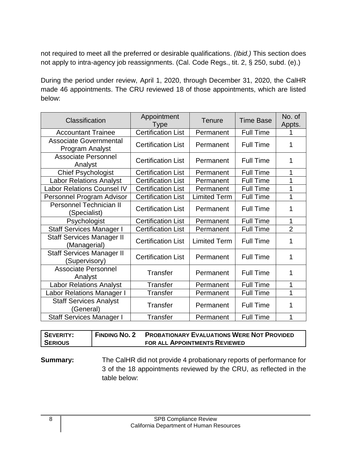not required to meet all the preferred or desirable qualifications. *(Ibid.)* This section does not apply to intra-agency job reassignments. (Cal. Code Regs., tit. 2, § 250, subd. (e).)

 During the period under review, April 1, 2020, through December 31, 2020, the CalHR made 46 appointments. The CRU reviewed 18 of those appointments, which are listed below:

| Classification                                    | Appointment<br>Type       | <b>Tenure</b>       | <b>Time Base</b> | No. of<br>Appts. |
|---------------------------------------------------|---------------------------|---------------------|------------------|------------------|
| <b>Accountant Trainee</b>                         | <b>Certification List</b> | Permanent           | <b>Full Time</b> |                  |
| <b>Associate Governmental</b><br>Program Analyst  | <b>Certification List</b> | Permanent           | <b>Full Time</b> | 1                |
| <b>Associate Personnel</b><br>Analyst             | <b>Certification List</b> | Permanent           | <b>Full Time</b> | 1                |
| <b>Chief Psychologist</b>                         | <b>Certification List</b> | Permanent           | <b>Full Time</b> | 1                |
| <b>Labor Relations Analyst</b>                    | <b>Certification List</b> | Permanent           | <b>Full Time</b> | 1                |
| <b>Labor Relations Counsel IV</b>                 | <b>Certification List</b> | Permanent           | <b>Full Time</b> | 1                |
| Personnel Program Advisor                         | <b>Certification List</b> | <b>Limited Term</b> | <b>Full Time</b> | 1                |
| <b>Personnel Technician II</b><br>(Specialist)    | <b>Certification List</b> | Permanent           | Full Time        | 1                |
| Psychologist                                      | <b>Certification List</b> | Permanent           | <b>Full Time</b> | 1                |
| <b>Staff Services Manager I</b>                   | <b>Certification List</b> | Permanent           | <b>Full Time</b> | $\overline{2}$   |
| <b>Staff Services Manager II</b><br>(Managerial)  | <b>Certification List</b> | <b>Limited Term</b> | <b>Full Time</b> | 1                |
| <b>Staff Services Manager II</b><br>(Supervisory) | <b>Certification List</b> | Permanent           | <b>Full Time</b> | 1                |
| <b>Associate Personnel</b><br>Analyst             | Transfer                  | Permanent           | <b>Full Time</b> | 1                |
| <b>Labor Relations Analyst</b>                    | <b>Transfer</b>           | Permanent           | <b>Full Time</b> | 1                |
| Labor Relations Manager I                         | Transfer                  | Permanent           | <b>Full Time</b> | 1                |
| <b>Staff Services Analyst</b><br>(General)        | Transfer                  | Permanent           | <b>Full Time</b> | 1                |
| <b>Staff Services Manager I</b>                   | <b>Transfer</b>           | Permanent           | <b>Full Time</b> | 1                |

| SEVERITY:      | <b>FINDING NO. 2</b> | <b>PROBATIONARY EVALUATIONS WERE NOT PROVIDED</b> |
|----------------|----------------------|---------------------------------------------------|
| <b>SERIOUS</b> |                      | FOR ALL APPOINTMENTS REVIEWED                     |

# **Summary:** The CalHR did not provide 4 probationary reports of performance for 3 of the 18 appointments reviewed by the CRU, as reflected in the table below: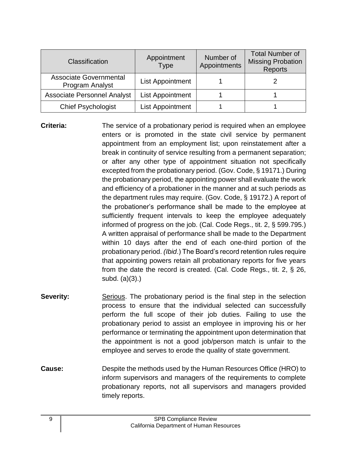| <b>Classification</b>                            | Appointment<br><b>Type</b> | Number of<br>Appointments | <b>Total Number of</b><br><b>Missing Probation</b><br><b>Reports</b> |
|--------------------------------------------------|----------------------------|---------------------------|----------------------------------------------------------------------|
| <b>Associate Governmental</b><br>Program Analyst | <b>List Appointment</b>    |                           |                                                                      |
| <b>Associate Personnel Analyst</b>               | <b>List Appointment</b>    |                           |                                                                      |
| <b>Chief Psychologist</b>                        | <b>List Appointment</b>    |                           |                                                                      |

- **Criteria:** The service of a probationary period is required when an employee enters or is promoted in the state civil service by permanent appointment from an employment list; upon reinstatement after a break in continuity of service resulting from a permanent separation; or after any other type of appointment situation not specifically excepted from the probationary period. (Gov. Code, § 19171.) During the probationary period, the appointing power shall evaluate the work and efficiency of a probationer in the manner and at such periods as the department rules may require. (Gov. Code, § 19172.) A report of the probationer's performance shall be made to the employee at sufficiently frequent intervals to keep the employee adequately informed of progress on the job. (Cal. Code Regs., tit. 2, § 599.795.) A written appraisal of performance shall be made to the Department within 10 days after the end of each one-third portion of the probationary period. *(Ibid*.) The Board's record retention rules require from the date the record is created. (Cal. Code Regs., tit. 2, § 26, that appointing powers retain all probationary reports for five years subd. (a)(3).)
- **Severity:** Serious. The probationary period is the final step in the selection process to ensure that the individual selected can successfully perform the full scope of their job duties. Failing to use the probationary period to assist an employee in improving his or her performance or terminating the appointment upon determination that the appointment is not a good job/person match is unfair to the employee and serves to erode the quality of state government.
- **Cause:** Despite the methods used by the Human Resources Office (HRO) to inform supervisors and managers of the requirements to complete probationary reports, not all supervisors and managers provided timely reports.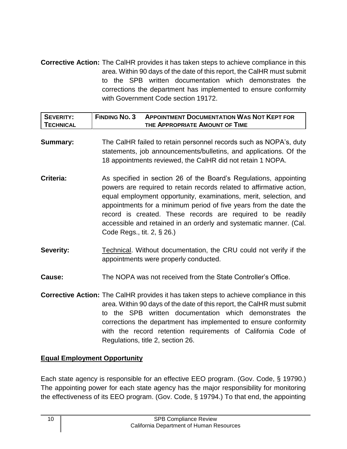**Corrective Action:** The CalHR provides it has taken steps to achieve compliance in this area. Within 90 days of the date of this report, the CalHR must submit to the SPB written documentation which demonstrates the corrections the department has implemented to ensure conformity with Government Code section 19172.

| I SEVERITY:      | <b>FINDING NO. 3</b> | <b>APPOINTMENT DOCUMENTATION WAS NOT KEPT FOR</b> |
|------------------|----------------------|---------------------------------------------------|
| <b>TECHNICAL</b> |                      | THE APPROPRIATE AMOUNT OF TIME                    |

- **Summary:** The CalHR failed to retain personnel records such as NOPA's, duty statements, job announcements/bulletins, and applications. Of the 18 appointments reviewed, the CalHR did not retain 1 NOPA.
- **Criteria:** As specified in section 26 of the Board's Regulations, appointing powers are required to retain records related to affirmative action, equal employment opportunity, examinations, merit, selection, and appointments for a minimum period of five years from the date the record is created. These records are required to be readily accessible and retained in an orderly and systematic manner. (Cal. Code Regs., tit. 2, § 26.)
- **Severity:** Technical. Without documentation, the CRU could not verify if the appointments were properly conducted.
- **Cause:** The NOPA was not received from the State Controller's Office.
- **Corrective Action:** The CalHR provides it has taken steps to achieve compliance in this area. Within 90 days of the date of this report, the CalHR must submit to the SPB written documentation which demonstrates the with the record retention requirements of California Code of corrections the department has implemented to ensure conformity Regulations, title 2, section 26.

#### **Equal Employment Opportunity**

 Each state agency is responsible for an effective EEO program. (Gov. Code, § 19790.) The appointing power for each state agency has the major responsibility for monitoring the effectiveness of its EEO program. (Gov. Code, § 19794.) To that end, the appointing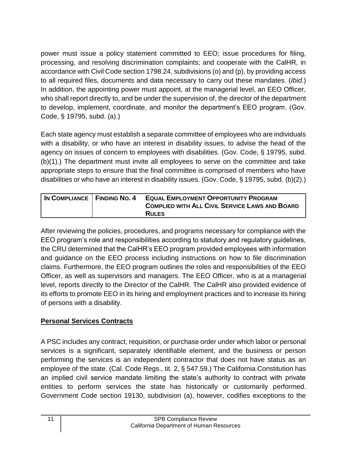power must issue a policy statement committed to EEO; issue procedures for filing, processing, and resolving discrimination complaints; and cooperate with the CalHR, in accordance with Civil Code section 1798.24, subdivisions (o) and (p), by providing access to all required files, documents and data necessary to carry out these mandates. (*Ibid*.) In addition, the appointing power must appoint, at the managerial level, an EEO Officer, who shall report directly to, and be under the supervision of, the director of the department to develop, implement, coordinate, and monitor the department's EEO program. (Gov. Code, § 19795, subd. (a).)

 Each state agency must establish a separate committee of employees who are individuals with a disability, or who have an interest in disability issues, to advise the head of the agency on issues of concern to employees with disabilities. (Gov. Code, § 19795, subd. (b)(1).) The department must invite all employees to serve on the committee and take appropriate steps to ensure that the final committee is comprised of members who have disabilities or who have an interest in disability issues. (Gov. Code, § 19795, subd. (b)(2).)

| IN COMPLIANCE   FINDING NO. 4 | <b>EQUAL EMPLOYMENT OPPORTUNITY PROGRAM</b><br><b>COMPLIED WITH ALL CIVIL SERVICE LAWS AND BOARD</b> |
|-------------------------------|------------------------------------------------------------------------------------------------------|
|                               | <b>RULES</b>                                                                                         |

 After reviewing the policies, procedures, and programs necessary for compliance with the EEO program's role and responsibilities according to statutory and regulatory guidelines, the CRU determined that the CalHR's EEO program provided employees with information and guidance on the EEO process including instructions on how to file discrimination Officer, as well as supervisors and managers. The EEO Officer, who is at a managerial level, reports directly to the Director of the CalHR. The CalHR also provided evidence of its efforts to promote EEO in its hiring and employment practices and to increase its hiring claims. Furthermore, the EEO program outlines the roles and responsibilities of the EEO of persons with a disability.

# **Personal Services Contracts**

 A PSC includes any contract, requisition, or purchase order under which labor or personal services is a significant, separately identifiable element, and the business or person performing the services is an independent contractor that does not have status as an employee of the state. (Cal. Code Regs., tit. 2, § 547.59.) The California Constitution has an implied civil service mandate limiting the state's authority to contract with private entities to perform services the state has historically or customarily performed. Government Code section 19130, subdivision (a), however, codifies exceptions to the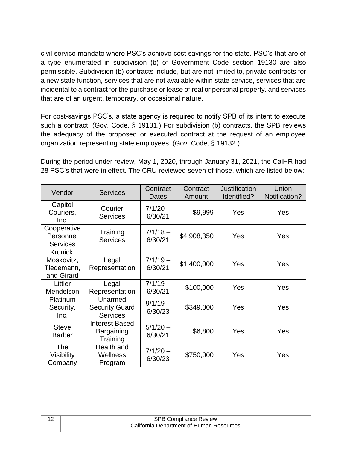a type enumerated in subdivision (b) of Government Code section 19130 are also a new state function, services that are not available within state service, services that are incidental to a contract for the purchase or lease of real or personal property, and services civil service mandate where PSC's achieve cost savings for the state. PSC's that are of permissible. Subdivision (b) contracts include, but are not limited to, private contracts for that are of an urgent, temporary, or occasional nature.

 For cost-savings PSC's, a state agency is required to notify SPB of its intent to execute such a contract. (Gov. Code, § 19131.) For subdivision (b) contracts, the SPB reviews the adequacy of the proposed or executed contract at the request of an employee organization representing state employees. (Gov. Code, § 19132.)

 During the period under review, May 1, 2020, through January 31, 2021, the CalHR had 28 PSC's that were in effect. The CRU reviewed seven of those, which are listed below:

| Vendor                                             | <b>Services</b>                                     | Contract<br>Dates     | Contract<br>Amount | <b>Justification</b><br>Identified? | Union<br>Notification? |
|----------------------------------------------------|-----------------------------------------------------|-----------------------|--------------------|-------------------------------------|------------------------|
| Capitol<br>Couriers,<br>Inc.                       | Courier<br><b>Services</b>                          | $7/1/20 -$<br>6/30/21 | \$9,999            | Yes                                 | Yes                    |
| Cooperative<br>Personnel<br><b>Services</b>        | Training<br><b>Services</b>                         | $7/1/18 -$<br>6/30/21 | \$4,908,350        | Yes                                 | Yes                    |
| Kronick,<br>Moskovitz,<br>Tiedemann,<br>and Girard | Legal<br>Representation                             | $7/1/19 -$<br>6/30/21 | \$1,400,000        | Yes                                 | Yes                    |
| Littler<br>Mendelson                               | Legal<br>Representation                             | $7/1/19 -$<br>6/30/21 | \$100,000          | Yes                                 | Yes                    |
| Platinum<br>Security,<br>Inc.                      | Unarmed<br><b>Security Guard</b><br><b>Services</b> | $9/1/19 -$<br>6/30/23 | \$349,000          | Yes                                 | Yes                    |
| <b>Steve</b><br><b>Barber</b>                      | <b>Interest Based</b><br>Bargaining<br>Training     | $5/1/20 -$<br>6/30/21 | \$6,800            | Yes                                 | Yes                    |
| <b>The</b><br><b>Visibility</b><br>Company         | Health and<br>Wellness<br>Program                   | $7/1/20 -$<br>6/30/23 | \$750,000          | Yes                                 | Yes                    |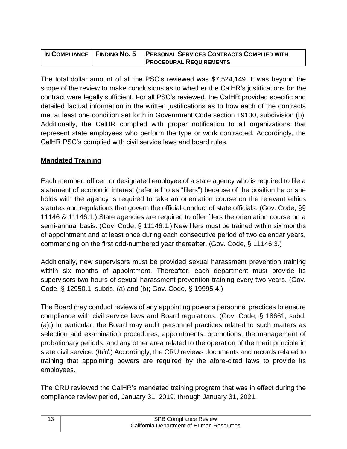|  | IN COMPLIANCE   FINDING NO. 5 PERSONAL SERVICES CONTRACTS COMPLIED WITH |
|--|-------------------------------------------------------------------------|
|  | <b>PROCEDURAL REQUIREMENTS</b>                                          |

 The total dollar amount of all the PSC's reviewed was \$7,524,149. It was beyond the scope of the review to make conclusions as to whether the CalHR's justifications for the contract were legally sufficient. For all PSC's reviewed, the CalHR provided specific and detailed factual information in the written justifications as to how each of the contracts met at least one condition set forth in Government Code section 19130, subdivision (b). Additionally, the CalHR complied with proper notification to all organizations that represent state employees who perform the type or work contracted. Accordingly, the CalHR PSC's complied with civil service laws and board rules.

## **Mandated Training**

 Each member, officer, or designated employee of a state agency who is required to file a statement of economic interest (referred to as "filers") because of the position he or she holds with the agency is required to take an orientation course on the relevant ethics 11146 & 11146.1.) State agencies are required to offer filers the orientation course on a semi-annual basis. (Gov. Code, § 11146.1.) New filers must be trained within six months of appointment and at least once during each consecutive period of two calendar years, statutes and regulations that govern the official conduct of state officials. (Gov. Code, §§ commencing on the first odd-numbered year thereafter. (Gov. Code, § 11146.3.)

 Additionally, new supervisors must be provided sexual harassment prevention training within six months of appointment. Thereafter, each department must provide its supervisors two hours of sexual harassment prevention training every two years. (Gov. Code, § 12950.1, subds. (a) and (b); Gov. Code, § 19995.4.)

 The Board may conduct reviews of any appointing power's personnel practices to ensure compliance with civil service laws and Board regulations. (Gov. Code, § 18661, subd. (a).) In particular, the Board may audit personnel practices related to such matters as selection and examination procedures, appointments, promotions, the management of probationary periods, and any other area related to the operation of the merit principle in state civil service. (*Ibid*.) Accordingly, the CRU reviews documents and records related to training that appointing powers are required by the afore-cited laws to provide its employees.

 The CRU reviewed the CalHR's mandated training program that was in effect during the compliance review period, January 31, 2019, through January 31, 2021.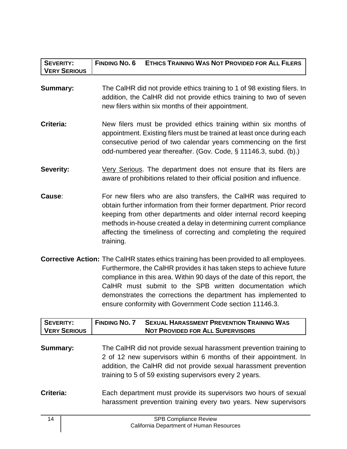| <b>SEVERITY:</b><br><b>VERY SERIOUS</b> | <b>FINDING NO. 6</b><br><b>ETHICS TRAINING WAS NOT PROVIDED FOR ALL FILERS</b>                                                                                                                                                                                                                                                                                                                                                             |
|-----------------------------------------|--------------------------------------------------------------------------------------------------------------------------------------------------------------------------------------------------------------------------------------------------------------------------------------------------------------------------------------------------------------------------------------------------------------------------------------------|
| <b>Summary:</b>                         | The CalHR did not provide ethics training to 1 of 98 existing filers. In<br>addition, the CalHR did not provide ethics training to two of seven<br>new filers within six months of their appointment.                                                                                                                                                                                                                                      |
| Criteria:                               | New filers must be provided ethics training within six months of<br>appointment. Existing filers must be trained at least once during each<br>consecutive period of two calendar years commencing on the first<br>odd-numbered year thereafter. (Gov. Code, § 11146.3, subd. (b).)                                                                                                                                                         |
| <b>Severity:</b>                        | Very Serious. The department does not ensure that its filers are<br>aware of prohibitions related to their official position and influence.                                                                                                                                                                                                                                                                                                |
| Cause:                                  | For new filers who are also transfers, the CalHR was required to<br>obtain further information from their former department. Prior record<br>keeping from other departments and older internal record keeping<br>methods in-house created a delay in determining current compliance<br>affecting the timeliness of correcting and completing the required<br>training.                                                                     |
|                                         | <b>Corrective Action:</b> The CalHR states ethics training has been provided to all employees.<br>Furthermore, the CalHR provides it has taken steps to achieve future<br>compliance in this area. Within 90 days of the date of this report, the<br>CalHR must submit to the SPB written documentation which<br>demonstrates the corrections the department has implemented to<br>ensure conformity with Government Code section 11146.3. |
| <b>SEVERITY:</b><br><b>VERY SERIOUS</b> | <b>FINDING NO. 7</b><br><b>SEXUAL HARASSMENT PREVENTION TRAINING WAS</b><br><b>NOT PROVIDED FOR ALL SUPERVISORS</b>                                                                                                                                                                                                                                                                                                                        |

- **Summary:** The CalHR did not provide sexual harassment prevention training to 2 of 12 new supervisors within 6 months of their appointment. In addition, the CalHR did not provide sexual harassment prevention training to 5 of 59 existing supervisors every 2 years.
- **Criteria:** Each department must provide its supervisors two hours of sexual harassment prevention training every two years. New supervisors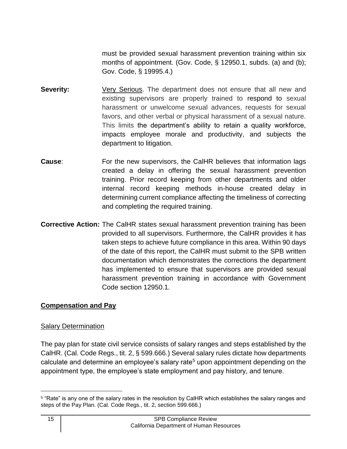must be provided sexual harassment prevention training within six months of appointment. (Gov. Code, § 12950.1, subds. (a) and (b); Gov. Code, § 19995.4.)

- existing supervisors are properly trained to respond to sexual favors, and other verbal or physical harassment of a sexual nature. This limits the department's ability to retain a quality workforce, impacts employee morale and productivity, and subjects the **Severity: Very Serious.** The department does not ensure that all new and harassment or unwelcome sexual advances, requests for sexual department to litigation.
- **Cause:** For the new supervisors, the CalHR believes that information lags created a delay in offering the sexual harassment prevention training. Prior record keeping from other departments and older internal record keeping methods in-house created delay in determining current compliance affecting the timeliness of correcting and completing the required training.
- **Corrective Action:** The CalHR states sexual harassment prevention training has been provided to all supervisors. Furthermore, the CalHR provides it has taken steps to achieve future compliance in this area. Within 90 days of the date of this report, the CalHR must submit to the SPB written has implemented to ensure that supervisors are provided sexual harassment prevention training in accordance with Government documentation which demonstrates the corrections the department Code section 12950.1*.*

#### **Compensation and Pay**

#### Salary Determination

 The pay plan for state civil service consists of salary ranges and steps established by the CalHR. (Cal. Code Regs., tit. 2, § 599.666.) Several salary rules dictate how departments calculate and determine an employee's salary rate<sup>5</sup> upon appointment depending on the appointment type, the employee's state employment and pay history, and tenure.

 $5$  "Rate" is any one of the salary rates in the resolution by CalHR which establishes the salary ranges and steps of the Pay Plan. (Cal. Code Regs., tit. 2, section 599.666.)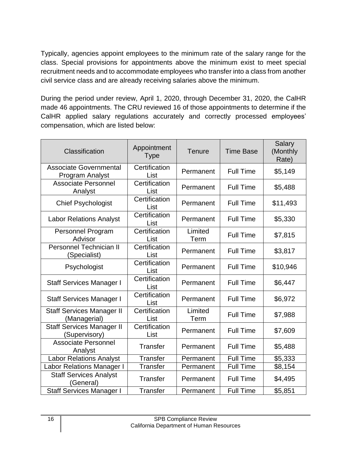Typically, agencies appoint employees to the minimum rate of the salary range for the class. Special provisions for appointments above the minimum exist to meet special recruitment needs and to accommodate employees who transfer into a class from another civil service class and are already receiving salaries above the minimum.

 During the period under review, April 1, 2020, through December 31, 2020, the CalHR CalHR applied salary regulations accurately and correctly processed employees' made 46 appointments. The CRU reviewed 16 of those appointments to determine if the compensation, which are listed below:

| Classification                                    | Appointment<br><b>Type</b> | Tenure          | <b>Time Base</b> | Salary<br>(Monthly<br>Rate) |
|---------------------------------------------------|----------------------------|-----------------|------------------|-----------------------------|
| <b>Associate Governmental</b><br>Program Analyst  | Certification<br>List      | Permanent       | <b>Full Time</b> | \$5,149                     |
| <b>Associate Personnel</b><br>Analyst             | Certification<br>List      | Permanent       | <b>Full Time</b> | \$5,488                     |
| <b>Chief Psychologist</b>                         | Certification<br>List      | Permanent       | <b>Full Time</b> | \$11,493                    |
| <b>Labor Relations Analyst</b>                    | Certification<br>List      | Permanent       | <b>Full Time</b> | \$5,330                     |
| <b>Personnel Program</b><br>Advisor               | Certification<br>List      | Limited<br>Term | <b>Full Time</b> | \$7,815                     |
| <b>Personnel Technician II</b><br>(Specialist)    | Certification<br>List      | Permanent       | <b>Full Time</b> | \$3,817                     |
| Psychologist                                      | Certification<br>List      | Permanent       | <b>Full Time</b> | \$10,946                    |
| <b>Staff Services Manager I</b>                   | Certification<br>List      | Permanent       | <b>Full Time</b> | \$6,447                     |
| <b>Staff Services Manager I</b>                   | Certification<br>List      | Permanent       | <b>Full Time</b> | \$6,972                     |
| <b>Staff Services Manager II</b><br>(Managerial)  | Certification<br>List      | Limited<br>Term | <b>Full Time</b> | \$7,988                     |
| <b>Staff Services Manager II</b><br>(Supervisory) | Certification<br>List      | Permanent       | <b>Full Time</b> | \$7,609                     |
| <b>Associate Personnel</b><br>Analyst             | <b>Transfer</b>            | Permanent       | <b>Full Time</b> | \$5,488                     |
| <b>Labor Relations Analyst</b>                    | <b>Transfer</b>            | Permanent       | <b>Full Time</b> | \$5,333                     |
| <b>Labor Relations Manager I</b>                  | <b>Transfer</b>            | Permanent       | <b>Full Time</b> | \$8,154                     |
| <b>Staff Services Analyst</b><br>(General)        | <b>Transfer</b>            | Permanent       | <b>Full Time</b> | \$4,495                     |
| <b>Staff Services Manager I</b>                   | <b>Transfer</b>            | Permanent       | <b>Full Time</b> | \$5,851                     |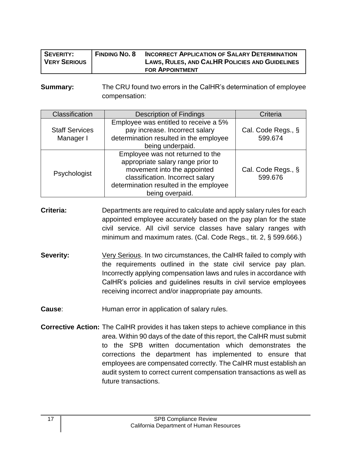| <b>SEVERITY:</b>    | <b>FINDING NO. 8</b> | <b>INCORRECT APPLICATION OF SALARY DETERMINATION</b> |
|---------------------|----------------------|------------------------------------------------------|
| <b>VERY SERIOUS</b> |                      | LAWS, RULES, AND CALHR POLICIES AND GUIDELINES       |
|                     |                      | <b>FOR APPOINTMENT</b>                               |

**Summary:** The CRU found two errors in the CalHR's determination of employee compensation:

| Classification                     | <b>Description of Findings</b>                                                                                                                                                                        | Criteria                      |
|------------------------------------|-------------------------------------------------------------------------------------------------------------------------------------------------------------------------------------------------------|-------------------------------|
| <b>Staff Services</b><br>Manager I | Employee was entitled to receive a 5%<br>pay increase. Incorrect salary<br>determination resulted in the employee<br>being underpaid.                                                                 | Cal. Code Regs., §<br>599.674 |
| Psychologist                       | Employee was not returned to the<br>appropriate salary range prior to<br>movement into the appointed<br>classification. Incorrect salary<br>determination resulted in the employee<br>being overpaid. | Cal. Code Regs., §<br>599.676 |

- **Criteria:** Departments are required to calculate and apply salary rules for each appointed employee accurately based on the pay plan for the state civil service. All civil service classes have salary ranges with minimum and maximum rates. (Cal. Code Regs., tit. 2, § 599.666.)
- **Severity:** *Very Serious.* In two circumstances, the CalHR failed to comply with the requirements outlined in the state civil service pay plan. Incorrectly applying compensation laws and rules in accordance with CalHR's policies and guidelines results in civil service employees receiving incorrect and/or inappropriate pay amounts.
- **Cause:** Human error in application of salary rules.
- **Corrective Action:** The CalHR provides it has taken steps to achieve compliance in this area. Within 90 days of the date of this report, the CalHR must submit to the SPB written documentation which demonstrates the corrections the department has implemented to ensure that employees are compensated correctly*.* The CalHR must establish an audit system to correct current compensation transactions as well as future transactions.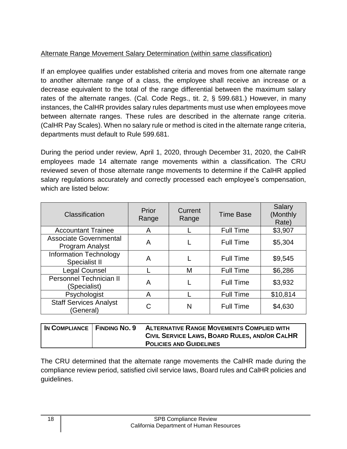# Alternate Range Movement Salary Determination (within same classification)

 If an employee qualifies under established criteria and moves from one alternate range to another alternate range of a class, the employee shall receive an increase or a decrease equivalent to the total of the range differential between the maximum salary rates of the alternate ranges. (Cal. Code Regs., tit. 2, § 599.681.) However, in many instances, the CalHR provides salary rules departments must use when employees move between alternate ranges. These rules are described in the alternate range criteria. (CalHR Pay Scales). When no salary rule or method is cited in the alternate range criteria, departments must default to Rule 599.681.

 During the period under review, April 1, 2020, through December 31, 2020, the CalHR employees made 14 alternate range movements within a classification. The CRU reviewed seven of those alternate range movements to determine if the CalHR applied salary regulations accurately and correctly processed each employee's compensation, which are listed below:

| Classification                                   | Prior<br>Range | <b>Current</b><br>Range | <b>Time Base</b> | Salary<br>(Monthly<br>Rate) |
|--------------------------------------------------|----------------|-------------------------|------------------|-----------------------------|
| <b>Accountant Trainee</b>                        | Α              |                         | <b>Full Time</b> | \$3,907                     |
| <b>Associate Governmental</b><br>Program Analyst | A              |                         | <b>Full Time</b> | \$5,304                     |
| <b>Information Technology</b><br>Specialist II   | A              |                         | <b>Full Time</b> | \$9,545                     |
| Legal Counsel                                    |                | M                       | <b>Full Time</b> | \$6,286                     |
| Personnel Technician II<br>(Specialist)          | A              |                         | <b>Full Time</b> | \$3,932                     |
| Psychologist                                     | A              |                         | <b>Full Time</b> | \$10,814                    |
| <b>Staff Services Analyst</b><br>(General)       | C              | N                       | <b>Full Time</b> | \$4,630                     |

| IN COMPLIANCE   FINDING NO. 9 | <b>ALTERNATIVE RANGE MOVEMENTS COMPLIED WITH</b> |
|-------------------------------|--------------------------------------------------|
|                               | CIVIL SERVICE LAWS, BOARD RULES, AND/OR CALHR    |
|                               | <b>POLICIES AND GUIDELINES</b>                   |

 The CRU determined that the alternate range movements the CalHR made during the compliance review period, satisfied civil service laws, Board rules and CalHR policies and guidelines.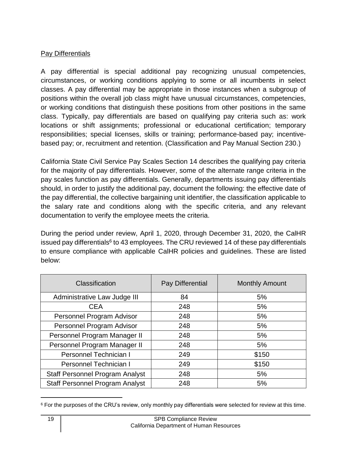## Pay Differentials

 A pay differential is special additional pay recognizing unusual competencies, circumstances, or working conditions applying to some or all incumbents in select classes. A pay differential may be appropriate in those instances when a subgroup of positions within the overall job class might have unusual circumstances, competencies, or working conditions that distinguish these positions from other positions in the same class. Typically, pay differentials are based on qualifying pay criteria such as: work responsibilities; special licenses, skills or training; performance-based pay; incentivelocations or shift assignments; professional or educational certification; temporary based pay; or, recruitment and retention. (Classification and Pay Manual Section 230.)

 California State Civil Service Pay Scales Section 14 describes the qualifying pay criteria for the majority of pay differentials. However, some of the alternate range criteria in the pay scales function as pay differentials. Generally, departments issuing pay differentials the pay differential, the collective bargaining unit identifier, the classification applicable to the salary rate and conditions along with the specific criteria, and any relevant should, in order to justify the additional pay, document the following: the effective date of documentation to verify the employee meets the criteria.

 During the period under review, April 1, 2020, through December 31, 2020, the CalHR issued pay differentials<sup>6</sup> to 43 employees. The CRU reviewed 14 of these pay differentials to ensure compliance with applicable CalHR policies and guidelines. These are listed below:

| Classification                         | Pay Differential | <b>Monthly Amount</b> |
|----------------------------------------|------------------|-----------------------|
| Administrative Law Judge III           | 84               | 5%                    |
| <b>CEA</b>                             | 248              | 5%                    |
| Personnel Program Advisor              | 248              | 5%                    |
| Personnel Program Advisor              | 248              | 5%                    |
| Personnel Program Manager II           | 248              | 5%                    |
| Personnel Program Manager II           | 248              | 5%                    |
| Personnel Technician I                 | 249              | \$150                 |
| Personnel Technician I                 | 249              | \$150                 |
| <b>Staff Personnel Program Analyst</b> | 248              | 5%                    |
| <b>Staff Personnel Program Analyst</b> | 248              | 5%                    |

 $^6$  For the purposes of the CRU's review, only monthly pay differentials were selected for review at this time.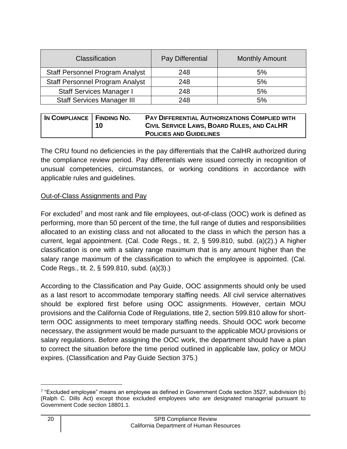| Classification                         | Pay Differential | <b>Monthly Amount</b> |
|----------------------------------------|------------------|-----------------------|
| <b>Staff Personnel Program Analyst</b> | 248              | 5%                    |
| <b>Staff Personnel Program Analyst</b> | 248              | 5%                    |
| <b>Staff Services Manager I</b>        | 248              | 5%                    |
| <b>Staff Services Manager III</b>      | 248              | 5%                    |

| IN COMPLIANCE   FINDING NO. | 10 | <b>PAY DIFFERENTIAL AUTHORIZATIONS COMPLIED WITH</b><br>CIVIL SERVICE LAWS, BOARD RULES, AND CALHR<br><b>POLICIES AND GUIDELINES</b> |
|-----------------------------|----|--------------------------------------------------------------------------------------------------------------------------------------|
|                             |    |                                                                                                                                      |

 The CRU found no deficiencies in the pay differentials that the CalHR authorized during the compliance review period. Pay differentials were issued correctly in recognition of unusual competencies, circumstances, or working conditions in accordance with applicable rules and guidelines.

#### Out-of-Class Assignments and Pay

For excluded<sup>7</sup> and most rank and file employees, out-of-class (OOC) work is defined as allocated to an existing class and not allocated to the class in which the person has a current, legal appointment. (Cal. Code Regs., tit. 2, § 599.810, subd. (a)(2).) A higher classification is one with a salary range maximum that is any amount higher than the salary range maximum of the classification to which the employee is appointed. (Cal. Code Regs., tit. 2, § 599.810, subd. (a)(3).) performing, more than 50 percent of the time, the full range of duties and responsibilities

 According to the Classification and Pay Guide, OOC assignments should only be used as a last resort to accommodate temporary staffing needs. All civil service alternatives should be explored first before using OOC assignments. However, certain MOU provisions and the California Code of Regulations, title 2, section 599.810 allow for short- term OOC assignments to meet temporary staffing needs. Should OOC work become necessary, the assignment would be made pursuant to the applicable MOU provisions or salary regulations. Before assigning the OOC work, the department should have a plan to correct the situation before the time period outlined in applicable law, policy or MOU expires. (Classification and Pay Guide Section 375.)

 $^7$  "Excluded employee" means an employee as defined in Government Code section 3527, subdivision (b) (Ralph C. Dills Act) except those excluded employees who are designated managerial pursuant to Government Code section 18801.1.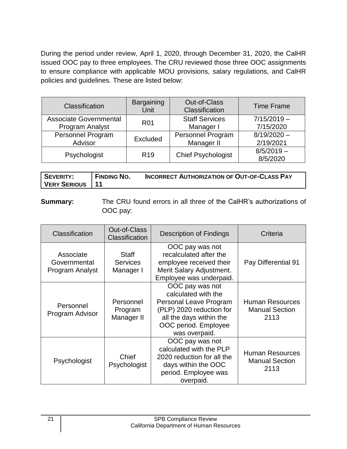During the period under review, April 1, 2020, through December 31, 2020, the CalHR issued OOC pay to three employees. The CRU reviewed those three OOC assignments to ensure compliance with applicable MOU provisions, salary regulations, and CalHR policies and guidelines. These are listed below:

| Classification                | <b>Bargaining</b><br>Unit | <b>Out-of-Class</b><br>Classification | <b>Time Frame</b> |
|-------------------------------|---------------------------|---------------------------------------|-------------------|
| <b>Associate Governmental</b> | <b>R01</b>                | <b>Staff Services</b>                 | $7/15/2019 -$     |
| Program Analyst               |                           | Manager I                             | 7/15/2020         |
| <b>Personnel Program</b>      | Excluded                  | <b>Personnel Program</b>              | $8/19/2020 -$     |
| Advisor                       |                           | Manager II                            | 2/19/2021         |
|                               |                           |                                       | $8/5/2019 -$      |
| Psychologist                  | R <sub>19</sub>           | <b>Chief Psychologist</b>             | 8/5/2020          |

| <b>SEVERITY:</b>         | <b>FINDING NO.</b> | <b>INCORRECT AUTHORIZATION OF OUT-OF-CLASS PAY</b> |
|--------------------------|--------------------|----------------------------------------------------|
| <b>VERY SERIOUS   11</b> |                    |                                                    |

 **Summary:** The CRU found errors in all three of the CalHR's authorizations of OOC pay:

| <b>Classification</b>                        | <b>Out-of-Class</b><br>Classification        | <b>Description of Findings</b>                                                                                                                                   | Criteria                                                |
|----------------------------------------------|----------------------------------------------|------------------------------------------------------------------------------------------------------------------------------------------------------------------|---------------------------------------------------------|
| Associate<br>Governmental<br>Program Analyst | <b>Staff</b><br><b>Services</b><br>Manager I | OOC pay was not<br>recalculated after the<br>employee received their<br>Merit Salary Adjustment.<br>Employee was underpaid.                                      | Pay Differential 91                                     |
| Personnel<br>Program Advisor                 | Personnel<br>Program<br>Manager II           | OOC pay was not<br>calculated with the<br>Personal Leave Program<br>(PLP) 2020 reduction for<br>all the days within the<br>OOC period. Employee<br>was overpaid. | <b>Human Resources</b><br><b>Manual Section</b><br>2113 |
| Psychologist                                 | Chief<br>Psychologist                        | OOC pay was not<br>calculated with the PLP<br>2020 reduction for all the<br>days within the OOC<br>period. Employee was<br>overpaid.                             | <b>Human Resources</b><br><b>Manual Section</b><br>2113 |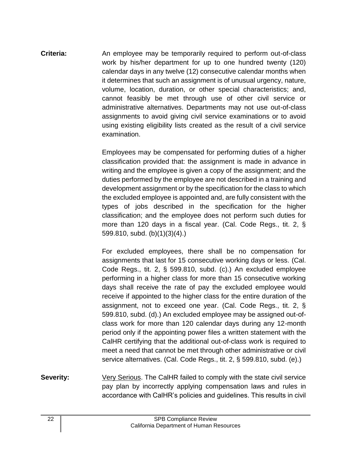**Criteria:** An employee may be temporarily required to perform out-of-class work by his/her department for up to one hundred twenty (120) calendar days in any twelve (12) consecutive calendar months when it determines that such an assignment is of unusual urgency, nature, cannot feasibly be met through use of other civil service or administrative alternatives. Departments may not use out-of-class assignments to avoid giving civil service examinations or to avoid using existing eligibility lists created as the result of a civil service volume, location, duration, or other special characteristics; and, examination.

> Employees may be compensated for performing duties of a higher classification provided that: the assignment is made in advance in writing and the employee is given a copy of the assignment; and the duties performed by the employee are not described in a training and development assignment or by the specification for the class to which the excluded employee is appointed and, are fully consistent with the types of jobs described in the specification for the higher classification; and the employee does not perform such duties for more than 120 days in a fiscal year. (Cal. Code Regs., tit. 2, § 599.810, subd. (b)(1)(3)(4).)

> For excluded employees, there shall be no compensation for assignments that last for 15 consecutive working days or less. (Cal. Code Regs., tit. 2, § 599.810, subd. (c).) An excluded employee performing in a higher class for more than 15 consecutive working days shall receive the rate of pay the excluded employee would receive if appointed to the higher class for the entire duration of the assignment, not to exceed one year. (Cal. Code Regs., tit. 2, § 599.810, subd. (d).) An excluded employee may be assigned out-of- class work for more than 120 calendar days during any 12-month period only if the appointing power files a written statement with the CalHR certifying that the additional out-of-class work is required to meet a need that cannot be met through other administrative or civil service alternatives. (Cal. Code Regs., tit. 2, § 599.810, subd. (e).)

 pay plan by incorrectly applying compensation laws and rules in accordance with CalHR's policies and guidelines. This results in civil **Severity:** Very Serious. The CalHR failed to comply with the state civil service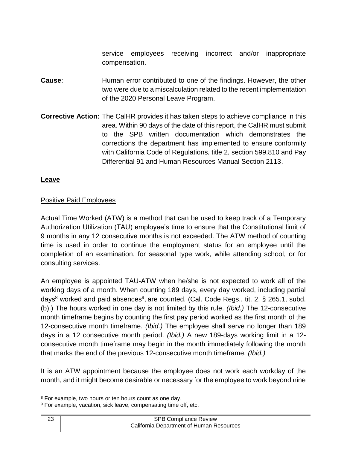service employees receiving incorrect and/or inappropriate compensation.

- **Cause:** Human error contributed to one of the findings. However, the other two were due to a miscalculation related to the recent implementation of the 2020 Personal Leave Program.
- **Corrective Action:** The CalHR provides it has taken steps to achieve compliance in this area. Within 90 days of the date of this report, the CalHR must submit to the SPB written documentation which demonstrates the corrections the department has implemented to ensure conformity with California Code of Regulations, title 2, section 599.810 and Pay Differential 91 and Human Resources Manual Section 2113.

## **Leave**

#### Positive Paid Employees

 Actual Time Worked (ATW) is a method that can be used to keep track of a Temporary Authorization Utilization (TAU) employee's time to ensure that the Constitutional limit of 9 months in any 12 consecutive months is not exceeded. The ATW method of counting time is used in order to continue the employment status for an employee until the completion of an examination, for seasonal type work, while attending school, or for consulting services.

 An employee is appointed TAU-ATW when he/she is not expected to work all of the working days of a month. When counting 189 days, every day worked, including partial days<sup>8</sup> worked and paid absences<sup>9</sup>, are counted. (Cal. Code Regs., tit. 2, § 265.1, subd. (b).) The hours worked in one day is not limited by this rule. *(Ibid.)* The 12-consecutive month timeframe begins by counting the first pay period worked as the first month of the 12-consecutive month timeframe. *(Ibid.)* The employee shall serve no longer than 189 days in a 12 consecutive month period. *(Ibid.)* A new 189-days working limit in a 12- consecutive month timeframe may begin in the month immediately following the month that marks the end of the previous 12-consecutive month timeframe. *(Ibid.)* 

 It is an ATW appointment because the employee does not work each workday of the month, and it might become desirable or necessary for the employee to work beyond nine

 $8$  For example, two hours or ten hours count as one day.<br> $9$  For example, vacation, sick leave, compensating time off, etc.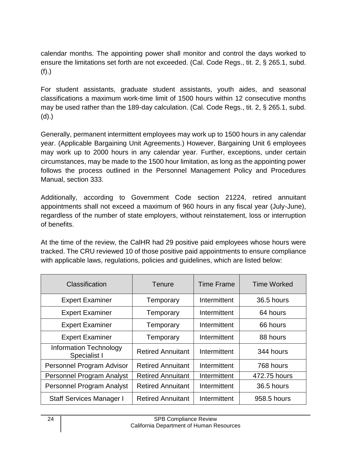calendar months. The appointing power shall monitor and control the days worked to ensure the limitations set forth are not exceeded. (Cal. Code Regs., tit. 2, § 265.1, subd. (f).)

 For student assistants, graduate student assistants, youth aides, and seasonal classifications a maximum work-time limit of 1500 hours within 12 consecutive months may be used rather than the 189-day calculation. (Cal. Code Regs., tit. 2, § 265.1, subd. (d).)

 Generally, permanent intermittent employees may work up to 1500 hours in any calendar year. (Applicable Bargaining Unit Agreements.) However, Bargaining Unit 6 employees may work up to 2000 hours in any calendar year. Further, exceptions, under certain circumstances, may be made to the 1500 hour limitation, as long as the appointing power follows the process outlined in the Personnel Management Policy and Procedures Manual, section 333.

 Additionally, according to Government Code section 21224, retired annuitant appointments shall not exceed a maximum of 960 hours in any fiscal year (July-June), regardless of the number of state employers, without reinstatement, loss or interruption of benefits.

 At the time of the review, the CalHR had 29 positive paid employees whose hours were tracked. The CRU reviewed 10 of those positive paid appointments to ensure compliance with applicable laws, regulations, policies and guidelines, which are listed below:

| Classification                                | Tenure                   | <b>Time Frame</b> | <b>Time Worked</b> |
|-----------------------------------------------|--------------------------|-------------------|--------------------|
| <b>Expert Examiner</b>                        | Temporary                | Intermittent      | 36.5 hours         |
| <b>Expert Examiner</b>                        | Temporary                | Intermittent      | 64 hours           |
| <b>Expert Examiner</b>                        | Temporary                | Intermittent      | 66 hours           |
| <b>Expert Examiner</b>                        | Temporary                | Intermittent      | 88 hours           |
| <b>Information Technology</b><br>Specialist I | <b>Retired Annuitant</b> | Intermittent      | 344 hours          |
| Personnel Program Advisor                     | <b>Retired Annuitant</b> | Intermittent      | 768 hours          |
| Personnel Program Analyst                     | <b>Retired Annuitant</b> | Intermittent      | 472.75 hours       |
| <b>Personnel Program Analyst</b>              | <b>Retired Annuitant</b> | Intermittent      | 36.5 hours         |
| <b>Staff Services Manager I</b>               | <b>Retired Annuitant</b> | Intermittent      | 958.5 hours        |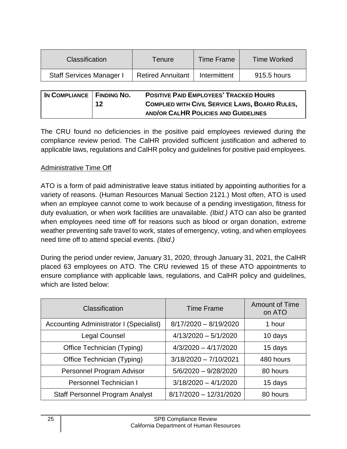| <b>Classification</b>           | Tenure                   | <b>Time Frame</b> | <b>Time Worked</b> |
|---------------------------------|--------------------------|-------------------|--------------------|
| <b>Staff Services Manager I</b> | <b>Retired Annuitant</b> | Intermittent      | 915.5 hours        |

| IN COMPLIANCE   FINDING NO. |    | <b>POSITIVE PAID EMPLOYEES' TRACKED HOURS</b>         |
|-----------------------------|----|-------------------------------------------------------|
|                             | 12 | <b>COMPLIED WITH CIVIL SERVICE LAWS, BOARD RULES,</b> |
|                             |    | AND/OR CALHR POLICIES AND GUIDELINES                  |

 The CRU found no deficiencies in the positive paid employees reviewed during the compliance review period. The CalHR provided sufficient justification and adhered to applicable laws, regulations and CalHR policy and guidelines for positive paid employees.

## Administrative Time Off

 ATO is a form of paid administrative leave status initiated by appointing authorities for a variety of reasons. (Human Resources Manual Section 2121.) Most often, ATO is used when an employee cannot come to work because of a pending investigation, fitness for duty evaluation, or when work facilities are unavailable. *(Ibid.)* ATO can also be granted when employees need time off for reasons such as blood or organ donation, extreme weather preventing safe travel to work, states of emergency, voting, and when employees need time off to attend special events. *(Ibid.)* 

 During the period under review, January 31, 2020, through January 31, 2021, the CalHR placed 63 employees on ATO. The CRU reviewed 15 of these ATO appointments to ensure compliance with applicable laws, regulations, and CalHR policy and guidelines, which are listed below:

| Classification                                 | <b>Time Frame</b>       | <b>Amount of Time</b><br>on ATO |
|------------------------------------------------|-------------------------|---------------------------------|
| <b>Accounting Administrator I (Specialist)</b> | $8/17/2020 - 8/19/2020$ | 1 hour                          |
| Legal Counsel                                  | $4/13/2020 - 5/1/2020$  | 10 days                         |
| Office Technician (Typing)                     | $4/3/2020 - 4/17/2020$  | 15 days                         |
| Office Technician (Typing)                     | $3/18/2020 - 7/10/2021$ | 480 hours                       |
| Personnel Program Advisor                      | $5/6/2020 - 9/28/2020$  | 80 hours                        |
| Personnel Technician I                         | $3/18/2020 - 4/1/2020$  | 15 days                         |
| <b>Staff Personnel Program Analyst</b>         | 8/17/2020 - 12/31/2020  | 80 hours                        |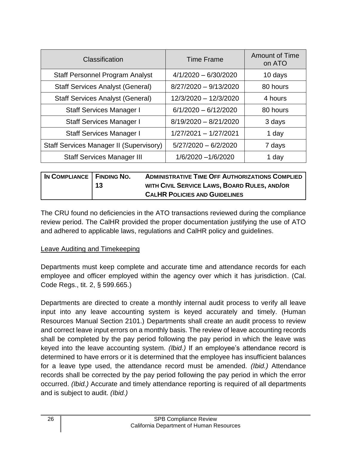| Classification                                 | <b>Time Frame</b>       | <b>Amount of Time</b><br>on ATO |
|------------------------------------------------|-------------------------|---------------------------------|
| <b>Staff Personnel Program Analyst</b>         | $4/1/2020 - 6/30/2020$  | 10 days                         |
| <b>Staff Services Analyst (General)</b>        | 8/27/2020 - 9/13/2020   | 80 hours                        |
| <b>Staff Services Analyst (General)</b>        | 12/3/2020 - 12/3/2020   | 4 hours                         |
| <b>Staff Services Manager I</b>                | $6/1/2020 - 6/12/2020$  | 80 hours                        |
| <b>Staff Services Manager I</b>                | $8/19/2020 - 8/21/2020$ | 3 days                          |
| <b>Staff Services Manager I</b>                | 1/27/2021 - 1/27/2021   | 1 day                           |
| <b>Staff Services Manager II (Supervisory)</b> | $5/27/2020 - 6/2/2020$  | 7 days                          |
| <b>Staff Services Manager III</b>              | 1/6/2020 -1/6/2020      | 1 day                           |

| IN COMPLIANCE   FINDING NO. |    | <b>ADMINISTRATIVE TIME OFF AUTHORIZATIONS COMPLIED</b> |
|-----------------------------|----|--------------------------------------------------------|
|                             | 13 | WITH CIVIL SERVICE LAWS, BOARD RULES, AND/OR           |
|                             |    | <b>CALHR POLICIES AND GUIDELINES</b>                   |

 The CRU found no deficiencies in the ATO transactions reviewed during the compliance review period. The CalHR provided the proper documentation justifying the use of ATO and adhered to applicable laws, regulations and CalHR policy and guidelines.

#### Leave Auditing and Timekeeping

 Departments must keep complete and accurate time and attendance records for each employee and officer employed within the agency over which it has jurisdiction. (Cal. Code Regs., tit. 2, § 599.665.)

 Departments are directed to create a monthly internal audit process to verify all leave input into any leave accounting system is keyed accurately and timely. (Human Resources Manual Section 2101.) Departments shall create an audit process to review and correct leave input errors on a monthly basis. The review of leave accounting records shall be completed by the pay period following the pay period in which the leave was keyed into the leave accounting system. *(Ibid.)* If an employee's attendance record is determined to have errors or it is determined that the employee has insufficient balances for a leave type used, the attendance record must be amended. *(Ibid.)* Attendance records shall be corrected by the pay period following the pay period in which the error occurred. *(Ibid.)* Accurate and timely attendance reporting is required of all departments and is subject to audit. *(Ibid.)*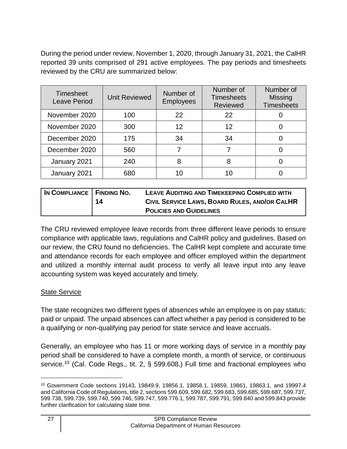During the period under review, November 1, 2020, through January 31, 2021, the CalHR reported 39 units comprised of 291 active employees. The pay periods and timesheets reviewed by the CRU are summarized below:

| <b>Timesheet</b><br><b>Leave Period</b> | <b>Unit Reviewed</b> | Number of<br><b>Employees</b> | Number of<br><b>Timesheets</b><br><b>Reviewed</b> | Number of<br><b>Missing</b><br><b>Timesheets</b> |
|-----------------------------------------|----------------------|-------------------------------|---------------------------------------------------|--------------------------------------------------|
| November 2020                           | 100                  | 22                            | 22                                                |                                                  |
| November 2020                           | 300                  | 12                            | 12                                                | O                                                |
| December 2020                           | 175                  | 34                            | 34                                                |                                                  |
| December 2020                           | 560                  |                               |                                                   |                                                  |
| January 2021                            | 240                  | 8                             | 8                                                 |                                                  |
| January 2021                            | 680                  |                               |                                                   |                                                  |

| IN COMPLIANCE   FINDING NO. |    | LEAVE AUDITING AND TIMEKEEPING COMPLIED WITH  |
|-----------------------------|----|-----------------------------------------------|
|                             | 14 | CIVIL SERVICE LAWS, BOARD RULES, AND/OR CALHR |
|                             |    | <b>POLICIES AND GUIDELINES</b>                |

 The CRU reviewed employee leave records from three different leave periods to ensure compliance with applicable laws, regulations and CalHR policy and guidelines. Based on our review, the CRU found no deficiencies. The CalHR kept complete and accurate time and attendance records for each employee and officer employed within the department and utilized a monthly internal audit process to verify all leave input into any leave accounting system was keyed accurately and timely.

# State Service

 The state recognizes two different types of absences while an employee is on pay status; paid or unpaid. The unpaid absences can affect whether a pay period is considered to be a qualifying or non-qualifying pay period for state service and leave accruals.

 Generally, an employee who has 11 or more working days of service in a monthly pay period shall be considered to have a complete month, a month of service, or continuous [service.](https://service.10)<sup>10</sup> (Cal. Code Regs., tit. 2, § 599.608.) Full time and fractional employees who

 10 Government Code sections 19143, 19849.9, 19856.1, 19858.1, 19859, 19861, 19863.1, and 19997.4 and California Code of Regulations, title 2, sections 599.609, 599.682, 599.683, 599.685, 599.687, 599.737, 599.738, 599.739, 599.740, 599.746, 599.747, 599.776.1, 599.787, 599.791, 599.840 and 599.843 provide further clarification for calculating state time.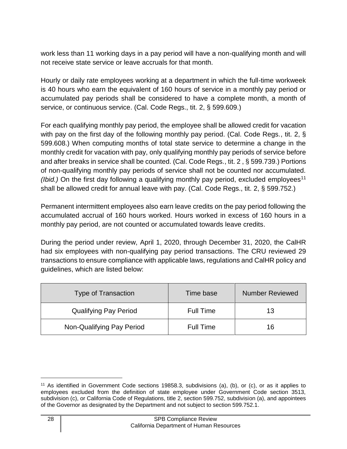work less than 11 working days in a pay period will have a non-qualifying month and will not receive state service or leave accruals for that month.

 Hourly or daily rate employees working at a department in which the full-time workweek is 40 hours who earn the equivalent of 160 hours of service in a monthly pay period or accumulated pay periods shall be considered to have a complete month, a month of service, or continuous service. (Cal. Code Regs., tit. 2, § 599.609.)

 For each qualifying monthly pay period, the employee shall be allowed credit for vacation with pay on the first day of the following monthly pay period. (Cal. Code Regs., tit. 2, § 599.608.) When computing months of total state service to determine a change in the monthly credit for vacation with pay, only qualifying monthly pay periods of service before and after breaks in service shall be counted. (Cal. Code Regs., tit. 2 , § 599.739.) Portions of non-qualifying monthly pay periods of service shall not be counted nor accumulated. *(Ibid.)* On the first day following a qualifying monthly pay period, excluded employees<sup>11</sup> shall be allowed credit for annual leave with pay. (Cal. Code Regs., tit. 2, § 599.752.)

 Permanent intermittent employees also earn leave credits on the pay period following the accumulated accrual of 160 hours worked. Hours worked in excess of 160 hours in a monthly pay period, are not counted or accumulated towards leave credits.

 During the period under review, April 1, 2020, through December 31, 2020, the CalHR had six employees with non-qualifying pay period transactions. The CRU reviewed 29 transactions to ensure compliance with applicable laws, regulations and CalHR policy and guidelines, which are listed below:

| <b>Type of Transaction</b>   | Time base        | <b>Number Reviewed</b> |
|------------------------------|------------------|------------------------|
| <b>Qualifying Pay Period</b> | <b>Full Time</b> | 13                     |
| Non-Qualifying Pay Period    | <b>Full Time</b> | 16                     |

 11 As identified in Government Code sections 19858.3, subdivisions (a), (b), or (c), or as it applies to employees excluded from the definition of state employee under Government Code section 3513, subdivision (c), or California Code of Regulations, title 2, section 599.752, subdivision (a), and appointees of the Governor as designated by the Department and not subject to section 599.752.1.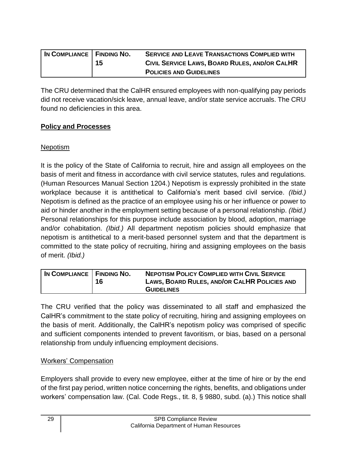| IN COMPLIANCE   FINDING NO. |    | <b>SERVICE AND LEAVE TRANSACTIONS COMPLIED WITH</b> |
|-----------------------------|----|-----------------------------------------------------|
|                             | 15 | CIVIL SERVICE LAWS, BOARD RULES, AND/OR CALHR       |
|                             |    | <b>POLICIES AND GUIDELINES</b>                      |

 The CRU determined that the CalHR ensured employees with non-qualifying pay periods did not receive vacation/sick leave, annual leave, and/or state service accruals. The CRU found no deficiencies in this area.

## **Policy and Processes**

## Nepotism

 It is the policy of the State of California to recruit, hire and assign all employees on the basis of merit and fitness in accordance with civil service statutes, rules and regulations. (Human Resources Manual Section 1204.) Nepotism is expressly prohibited in the state workplace because it is antithetical to California's merit based civil service. *(Ibid.)*  Nepotism is defined as the practice of an employee using his or her influence or power to aid or hinder another in the employment setting because of a personal relationship. *(Ibid.)*  Personal relationships for this purpose include association by blood, adoption, marriage and/or cohabitation. *(Ibid.)* All department nepotism policies should emphasize that nepotism is antithetical to a merit-based personnel system and that the department is committed to the state policy of recruiting, hiring and assigning employees on the basis of merit. *(Ibid.)* 

| IN COMPLIANCE   FINDING NO. | 16 | <b>NEPOTISM POLICY COMPLIED WITH CIVIL SERVICE</b><br>LAWS, BOARD RULES, AND/OR CALHR POLICIES AND |
|-----------------------------|----|----------------------------------------------------------------------------------------------------|
|                             |    | <b>GUIDELINES</b>                                                                                  |

 The CRU verified that the policy was disseminated to all staff and emphasized the CalHR's commitment to the state policy of recruiting, hiring and assigning employees on the basis of merit. Additionally, the CalHR's nepotism policy was comprised of specific and sufficient components intended to prevent favoritism, or bias, based on a personal relationship from unduly influencing employment decisions.

#### Workers' Compensation

 Employers shall provide to every new employee, either at the time of hire or by the end of the first pay period, written notice concerning the rights, benefits, and obligations under workers' compensation law. (Cal. Code Regs., tit. 8, § 9880, subd. (a).) This notice shall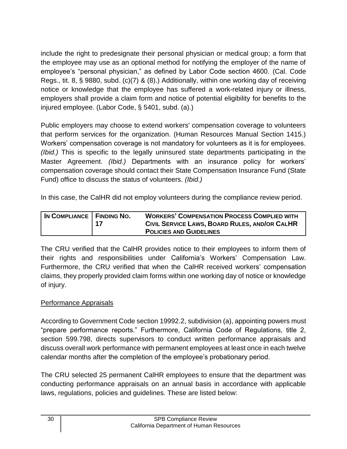include the right to predesignate their personal physician or medical group; a form that the employee may use as an optional method for notifying the employer of the name of employee's "personal physician," as defined by Labor Code section 4600. (Cal. Code Regs., tit. 8, § 9880, subd. (c)(7) & (8).) Additionally, within one working day of receiving notice or knowledge that the employee has suffered a work-related injury or illness, employers shall provide a claim form and notice of potential eligibility for benefits to the injured employee. (Labor Code, § 5401, subd. (a).)

 Public employers may choose to extend workers' compensation coverage to volunteers that perform services for the organization. (Human Resources Manual Section 1415.) Workers' compensation coverage is not mandatory for volunteers as it is for employees. *(Ibid.)* This is specific to the legally uninsured state departments participating in the Master Agreement. *(Ibid.)* Departments with an insurance policy for workers' compensation coverage should contact their State Compensation Insurance Fund (State Fund) office to discuss the status of volunteers. *(Ibid.)* 

In this case, the CalHR did not employ volunteers during the compliance review period.

| IN COMPLIANCE   FINDING NO. | 17 | <b>WORKERS' COMPENSATION PROCESS COMPLIED WITH</b><br>CIVIL SERVICE LAWS, BOARD RULES, AND/OR CALHR |
|-----------------------------|----|-----------------------------------------------------------------------------------------------------|
|                             |    | <b>POLICIES AND GUIDELINES</b>                                                                      |

 The CRU verified that the CalHR provides notice to their employees to inform them of Furthermore, the CRU verified that when the CalHR received workers' compensation claims, they properly provided claim forms within one working day of notice or knowledge their rights and responsibilities under California's Workers' Compensation Law. of injury.

# Performance Appraisals

 According to Government Code section 19992.2, subdivision (a), appointing powers must "prepare performance reports." Furthermore, California Code of Regulations, title 2, discuss overall work performance with permanent employees at least once in each twelve section 599.798, directs supervisors to conduct written performance appraisals and calendar months after the completion of the employee's probationary period.

 The CRU selected 25 permanent CalHR employees to ensure that the department was conducting performance appraisals on an annual basis in accordance with applicable laws, regulations, policies and guidelines. These are listed below: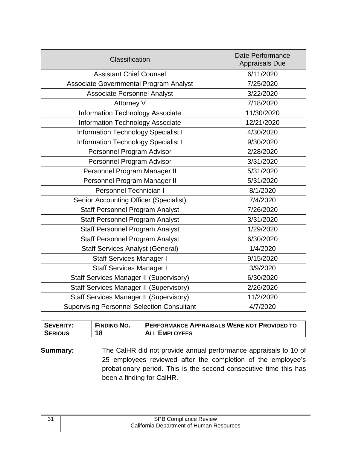| Classification                                    | <b>Date Performance</b><br><b>Appraisals Due</b> |
|---------------------------------------------------|--------------------------------------------------|
| <b>Assistant Chief Counsel</b>                    | 6/11/2020                                        |
| Associate Governmental Program Analyst            | 7/25/2020                                        |
| <b>Associate Personnel Analyst</b>                | 3/22/2020                                        |
| Attorney V                                        | 7/18/2020                                        |
| <b>Information Technology Associate</b>           | 11/30/2020                                       |
| Information Technology Associate                  | 12/21/2020                                       |
| <b>Information Technology Specialist I</b>        | 4/30/2020                                        |
| <b>Information Technology Specialist I</b>        | 9/30/2020                                        |
| Personnel Program Advisor                         | 2/28/2020                                        |
| Personnel Program Advisor                         | 3/31/2020                                        |
| Personnel Program Manager II                      | 5/31/2020                                        |
| Personnel Program Manager II                      | 5/31/2020                                        |
| Personnel Technician I                            | 8/1/2020                                         |
| <b>Senior Accounting Officer (Specialist)</b>     | 7/4/2020                                         |
| <b>Staff Personnel Program Analyst</b>            | 7/26/2020                                        |
| <b>Staff Personnel Program Analyst</b>            | 3/31/2020                                        |
| <b>Staff Personnel Program Analyst</b>            | 1/29/2020                                        |
| <b>Staff Personnel Program Analyst</b>            | 6/30/2020                                        |
| <b>Staff Services Analyst (General)</b>           | 1/4/2020                                         |
| <b>Staff Services Manager I</b>                   | 9/15/2020                                        |
| <b>Staff Services Manager I</b>                   | 3/9/2020                                         |
| <b>Staff Services Manager II (Supervisory)</b>    | 6/30/2020                                        |
| <b>Staff Services Manager II (Supervisory)</b>    | 2/26/2020                                        |
| <b>Staff Services Manager II (Supervisory)</b>    | 11/2/2020                                        |
| <b>Supervising Personnel Selection Consultant</b> | 4/7/2020                                         |

| <b>SEVERITY:</b> | <b>FINDING NO.</b> | <b>PERFORMANCE APPRAISALS WERE NOT PROVIDED TO</b> |
|------------------|--------------------|----------------------------------------------------|
| <b>SERIOUS</b>   | 18                 | <b>ALL EMPLOYEES</b>                               |

 **Summary:** The CalHR did not provide annual performance appraisals to 10 of 25 employees reviewed after the completion of the employee's probationary period. This is the second consecutive time this has been a finding for CalHR.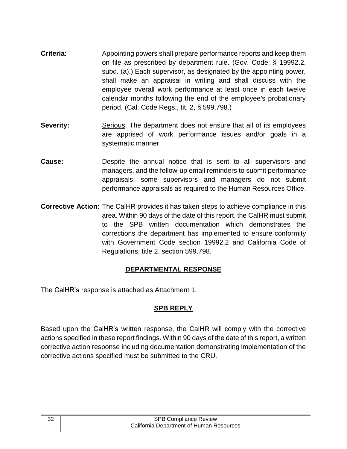- **Criteria:** Appointing powers shall prepare performance reports and keep them on file as prescribed by department rule. (Gov. Code, § 19992.2, shall make an appraisal in writing and shall discuss with the employee overall work performance at least once in each twelve calendar months following the end of the employee's probationary subd. (a).) Each supervisor, as designated by the appointing power, period. (Cal. Code Regs., tit. 2, § 599.798.)
- are apprised of work performance issues and/or goals in a **Severity:** Serious. The department does not ensure that all of its employees systematic manner.
- **Cause:** Despite the annual notice that is sent to all supervisors and managers, and the follow-up email reminders to submit performance appraisals, some supervisors and managers do not submit performance appraisals as required to the Human Resources Office.
- **Corrective Action:** The CalHR provides it has taken steps to achieve compliance in this area. Within 90 days of the date of this report, the CalHR must submit to the SPB written documentation which demonstrates the corrections the department has implemented to ensure conformity with Government Code section 19992.2 and California Code of Regulations, title 2, section 599.798.

#### **DEPARTMENTAL RESPONSE**

The CalHR's response is attached as Attachment 1.

# **SPB REPLY**

 Based upon the CalHR's written response, the CalHR will comply with the corrective actions specified in these report findings. Within 90 days of the date of this report, a written corrective action response including documentation demonstrating implementation of the corrective actions specified must be submitted to the CRU.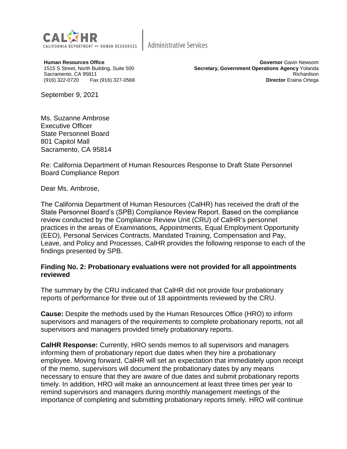

**Human Resources Office** 1515 S Street, North Building, Suite 500 Sacramento, CA 95811 (916) 322-0720 Fax (916) 327-0568

**Governor** Gavin Newsom **Secretary, Government Operations Agency** Yolanda Richardson **Director** Eraina Ortega

September 9, 2021

Ms. Suzanne Ambrose Executive Officer State Personnel Board 801 Capitol Mall Sacramento, CA 95814

Re: California Department of Human Resources Response to Draft State Personnel Board Compliance Report

Dear Ms. Ambrose,

The California Department of Human Resources (CalHR) has received the draft of the State Personnel Board's (SPB) Compliance Review Report. Based on the compliance review conducted by the Compliance Review Unit (CRU) of CalHR's personnel practices in the areas of Examinations, Appointments, Equal Employment Opportunity (EEO), Personal Services Contracts, Mandated Training, Compensation and Pay, Leave, and Policy and Processes, CalHR provides the following response to each of the findings presented by SPB.

#### **Finding No. 2: Probationary evaluations were not provided for all appointments reviewed**

The summary by the CRU indicated that CalHR did not provide four probationary reports of performance for three out of 18 appointments reviewed by the CRU.

**Cause:** Despite the methods used by the Human Resources Office (HRO) to inform supervisors and managers of the requirements to complete probationary reports, not all supervisors and managers provided timely probationary reports.

**CalHR Response:** Currently, HRO sends memos to all supervisors and managers informing them of probationary report due dates when they hire a probationary employee. Moving forward, CalHR will set an expectation that immediately upon receipt of the memo, supervisors will document the probationary dates by any means necessary to ensure that they are aware of due dates and submit probationary reports timely. In addition, HRO will make an announcement at least three times per year to remind supervisors and managers during monthly management meetings of the importance of completing and submitting probationary reports timely. HRO will continue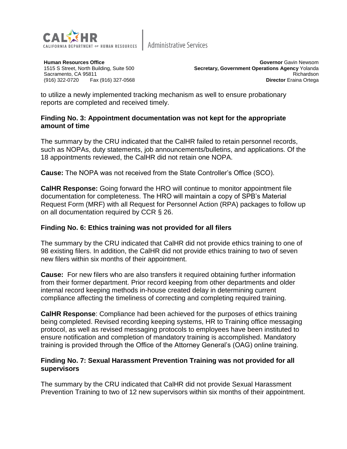

**Human Resources Office** 1515 S Street, North Building, Suite 500 Sacramento, CA 95811 (916) 322-0720 Fax (916) 327-0568

**Governor** Gavin Newsom **Secretary, Government Operations Agency** Yolanda Richardson **Director** Eraina Ortega

to utilize a newly implemented tracking mechanism as well to ensure probationary reports are completed and received timely.

#### **Finding No. 3: Appointment documentation was not kept for the appropriate amount of time**

The summary by the CRU indicated that the CalHR failed to retain personnel records, such as NOPAs, duty statements, job announcements/bulletins, and applications. Of the 18 appointments reviewed, the CalHR did not retain one NOPA.

**Cause:** The NOPA was not received from the State Controller's Office (SCO).

**CalHR Response:** Going forward the HRO will continue to monitor appointment file documentation for completeness. The HRO will maintain a copy of SPB's Material Request Form (MRF) with all Request for Personnel Action (RPA) packages to follow up on all documentation required by CCR § 26.

#### **Finding No. 6: Ethics training was not provided for all filers**

The summary by the CRU indicated that CalHR did not provide ethics training to one of 98 existing filers. In addition, the CalHR did not provide ethics training to two of seven new filers within six months of their appointment.

**Cause:** For new filers who are also transfers it required obtaining further information from their former department. Prior record keeping from other departments and older internal record keeping methods in-house created delay in determining current compliance affecting the timeliness of correcting and completing required training.

**CalHR Response**: Compliance had been achieved for the purposes of ethics training being completed. Revised recording keeping systems, HR to Training office messaging protocol, as well as revised messaging protocols to employees have been instituted to ensure notification and completion of mandatory training is accomplished. Mandatory training is provided through the Office of the Attorney General's (OAG) online training.

#### **Finding No. 7: Sexual Harassment Prevention Training was not provided for all supervisors**

The summary by the CRU indicated that CalHR did not provide Sexual Harassment Prevention Training to two of 12 new supervisors within six months of their appointment.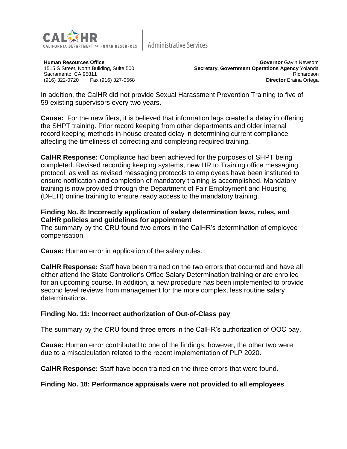

**Human Resources Office** 1515 S Street, North Building, Suite 500 Sacramento, CA 95811 (916) 322-0720 Fax (916) 327-0568

**Governor** Gavin Newsom **Secretary, Government Operations Agency** Yolanda Richardson **Director** Eraina Ortega

In addition, the CalHR did not provide Sexual Harassment Prevention Training to five of 59 existing supervisors every two years.

**Cause:** For the new filers, it is believed that information lags created a delay in offering the SHPT training. Prior record keeping from other departments and older internal record keeping methods in-house created delay in determining current compliance affecting the timeliness of correcting and completing required training.

**CalHR Response:** Compliance had been achieved for the purposes of SHPT being completed. Revised recording keeping systems, new HR to Training office messaging protocol, as well as revised messaging protocols to employees have been instituted to ensure notification and completion of mandatory training is accomplished. Mandatory training is now provided through the Department of Fair Employment and Housing (DFEH) online training to ensure ready access to the mandatory training.

#### **Finding No. 8: Incorrectly application of salary determination laws, rules, and CalHR policies and guidelines for appointment**

The summary by the CRU found two errors in the CalHR's determination of employee compensation.

**Cause:** Human error in application of the salary rules.

**CalHR Response:** Staff have been trained on the two errors that occurred and have all either attend the State Controller's Office Salary Determination training or are enrolled for an upcoming course. In addition, a new procedure has been implemented to provide second level reviews from management for the more complex, less routine salary determinations.

#### **Finding No. 11: Incorrect authorization of Out-of-Class pay**

The summary by the CRU found three errors in the CalHR's authorization of OOC pay.

**Cause:** Human error contributed to one of the findings; however, the other two were due to a miscalculation related to the recent implementation of PLP 2020.

**CalHR Response:** Staff have been trained on the three errors that were found.

#### **Finding No. 18: Performance appraisals were not provided to all employees**